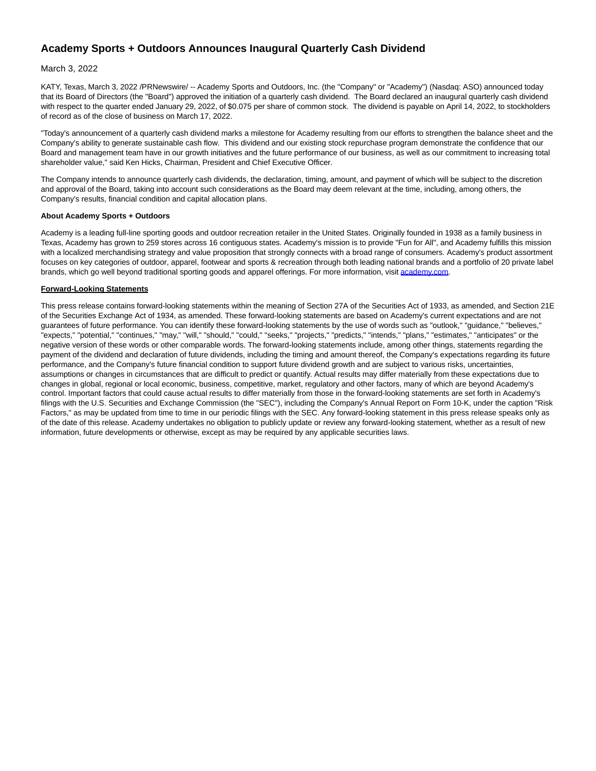# **Academy Sports + Outdoors Announces Inaugural Quarterly Cash Dividend**

# March 3, 2022

KATY, Texas, March 3, 2022 /PRNewswire/ -- Academy Sports and Outdoors, Inc. (the "Company" or "Academy") (Nasdaq: ASO) announced today that its Board of Directors (the "Board") approved the initiation of a quarterly cash dividend. The Board declared an inaugural quarterly cash dividend with respect to the quarter ended January 29, 2022, of \$0.075 per share of common stock. The dividend is payable on April 14, 2022, to stockholders of record as of the close of business on March 17, 2022.

"Today's announcement of a quarterly cash dividend marks a milestone for Academy resulting from our efforts to strengthen the balance sheet and the Company's ability to generate sustainable cash flow. This dividend and our existing stock repurchase program demonstrate the confidence that our Board and management team have in our growth initiatives and the future performance of our business, as well as our commitment to increasing total shareholder value," said Ken Hicks, Chairman, President and Chief Executive Officer.

The Company intends to announce quarterly cash dividends, the declaration, timing, amount, and payment of which will be subject to the discretion and approval of the Board, taking into account such considerations as the Board may deem relevant at the time, including, among others, the Company's results, financial condition and capital allocation plans.

### **About Academy Sports + Outdoors**

Academy is a leading full-line sporting goods and outdoor recreation retailer in the United States. Originally founded in 1938 as a family business in Texas, Academy has grown to 259 stores across 16 contiguous states. Academy's mission is to provide "Fun for All", and Academy fulfills this mission with a localized merchandising strategy and value proposition that strongly connects with a broad range of consumers. Academy's product assortment focuses on key categories of outdoor, apparel, footwear and sports & recreation through both leading national brands and a portfolio of 20 private label brands, which go well beyond traditional sporting goods and apparel offerings. For more information, visit [academy.com.](http://academy.com/)

# **Forward-Looking Statements**

This press release contains forward-looking statements within the meaning of Section 27A of the Securities Act of 1933, as amended, and Section 21E of the Securities Exchange Act of 1934, as amended. These forward-looking statements are based on Academy's current expectations and are not guarantees of future performance. You can identify these forward-looking statements by the use of words such as "outlook," "guidance," "believes," "expects," "potential," "continues," "may," "will," "should," "could," "seeks," "projects," "predicts," "intends," "plans," "estimates," "anticipates" or the negative version of these words or other comparable words. The forward-looking statements include, among other things, statements regarding the payment of the dividend and declaration of future dividends, including the timing and amount thereof, the Company's expectations regarding its future performance, and the Company's future financial condition to support future dividend growth and are subject to various risks, uncertainties, assumptions or changes in circumstances that are difficult to predict or quantify. Actual results may differ materially from these expectations due to changes in global, regional or local economic, business, competitive, market, regulatory and other factors, many of which are beyond Academy's control. Important factors that could cause actual results to differ materially from those in the forward-looking statements are set forth in Academy's filings with the U.S. Securities and Exchange Commission (the "SEC"), including the Company's Annual Report on Form 10-K, under the caption "Risk Factors," as may be updated from time to time in our periodic filings with the SEC. Any forward-looking statement in this press release speaks only as of the date of this release. Academy undertakes no obligation to publicly update or review any forward-looking statement, whether as a result of new information, future developments or otherwise, except as may be required by any applicable securities laws.